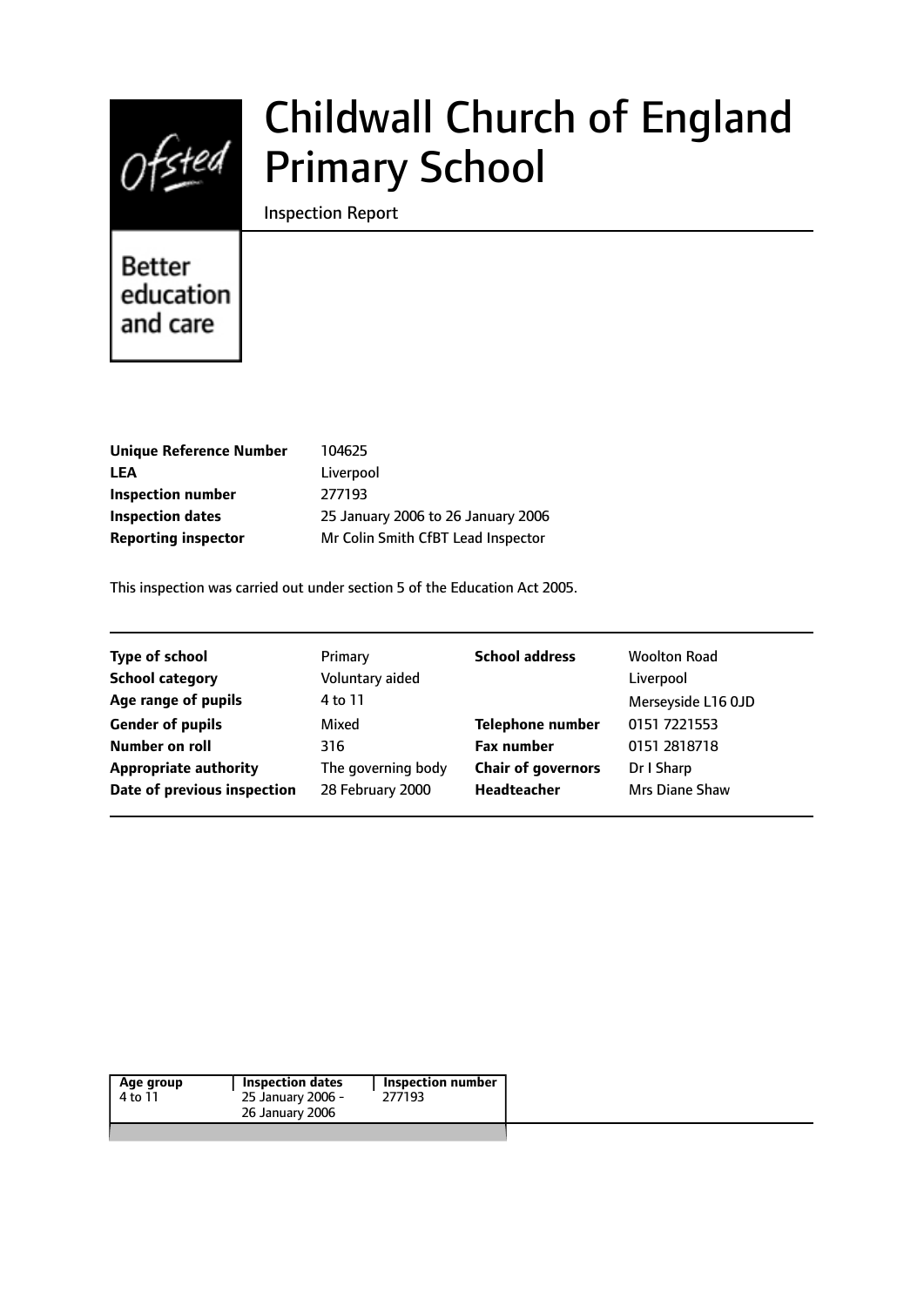

# Childwall Church of England Primary School

Inspection Report

Better education and care

| Unique Reference Number    | 104625                             |
|----------------------------|------------------------------------|
| LEA                        | Liverpool                          |
| Inspection number          | 277193                             |
| <b>Inspection dates</b>    | 25 January 2006 to 26 January 2006 |
| <b>Reporting inspector</b> | Mr Colin Smith CfBT Lead Inspector |
|                            |                                    |

This inspection was carried out under section 5 of the Education Act 2005.

| <b>Type of school</b>        | Primary            | <b>School address</b>     | <b>Woolton Road</b>   |
|------------------------------|--------------------|---------------------------|-----------------------|
| <b>School category</b>       | Voluntary aided    |                           | Liverpool             |
| Age range of pupils          | 4 to 11            |                           | Merseyside L16 OJD    |
| <b>Gender of pupils</b>      | Mixed              | <b>Telephone number</b>   | 0151 7221553          |
| Number on roll               | 316                | <b>Fax number</b>         | 0151 2818718          |
| <b>Appropriate authority</b> | The governing body | <b>Chair of governors</b> | Dr I Sharp            |
| Date of previous inspection  | 28 February 2000   | Headteacher               | <b>Mrs Diane Shaw</b> |
|                              |                    |                           |                       |

| Age group | Inspection dates  | <b>Inspection number</b> |
|-----------|-------------------|--------------------------|
| 4 to 11   | 25 January 2006 - | 277193                   |
|           | 26 January 2006   |                          |
|           |                   |                          |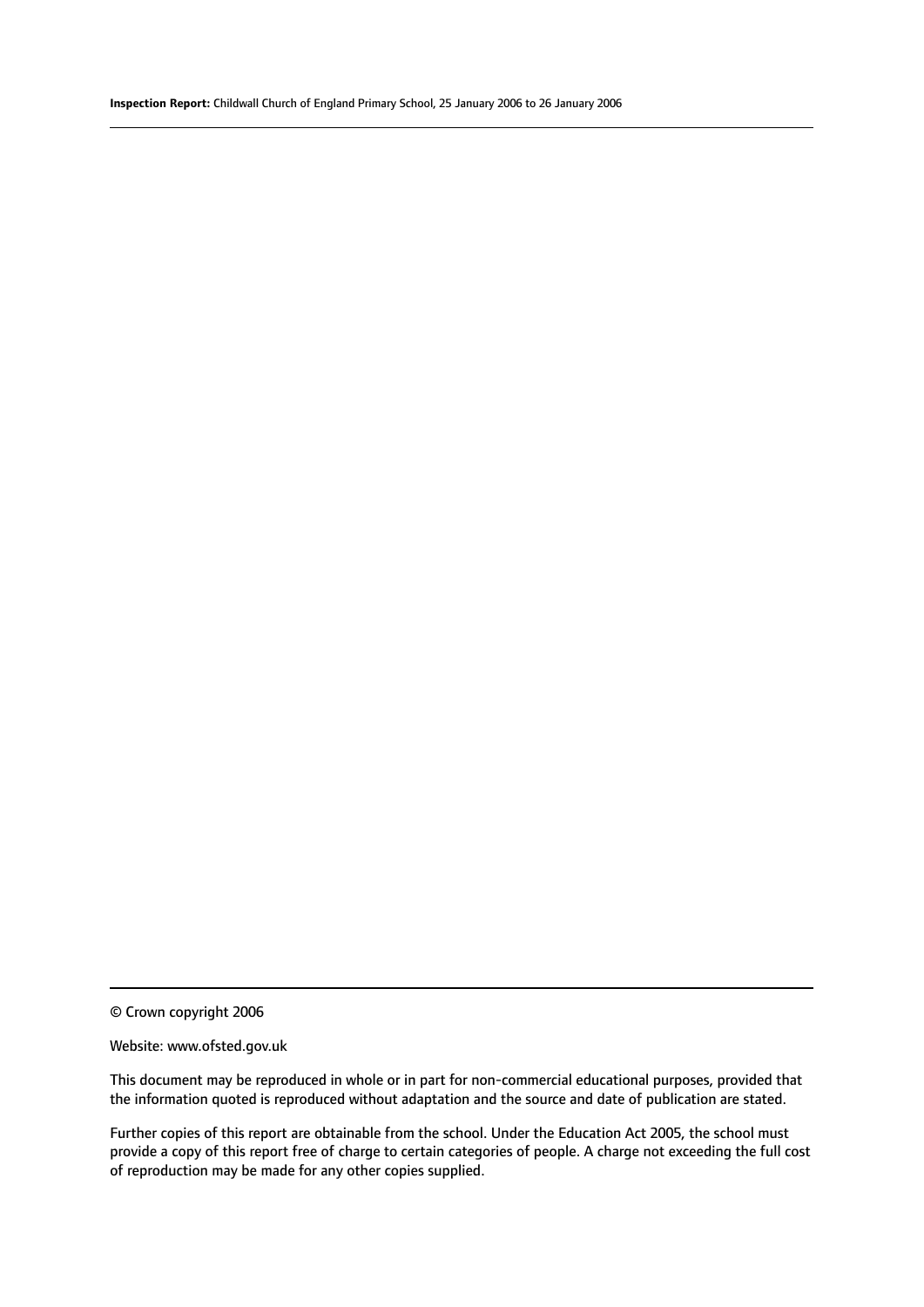© Crown copyright 2006

#### Website: www.ofsted.gov.uk

This document may be reproduced in whole or in part for non-commercial educational purposes, provided that the information quoted is reproduced without adaptation and the source and date of publication are stated.

Further copies of this report are obtainable from the school. Under the Education Act 2005, the school must provide a copy of this report free of charge to certain categories of people. A charge not exceeding the full cost of reproduction may be made for any other copies supplied.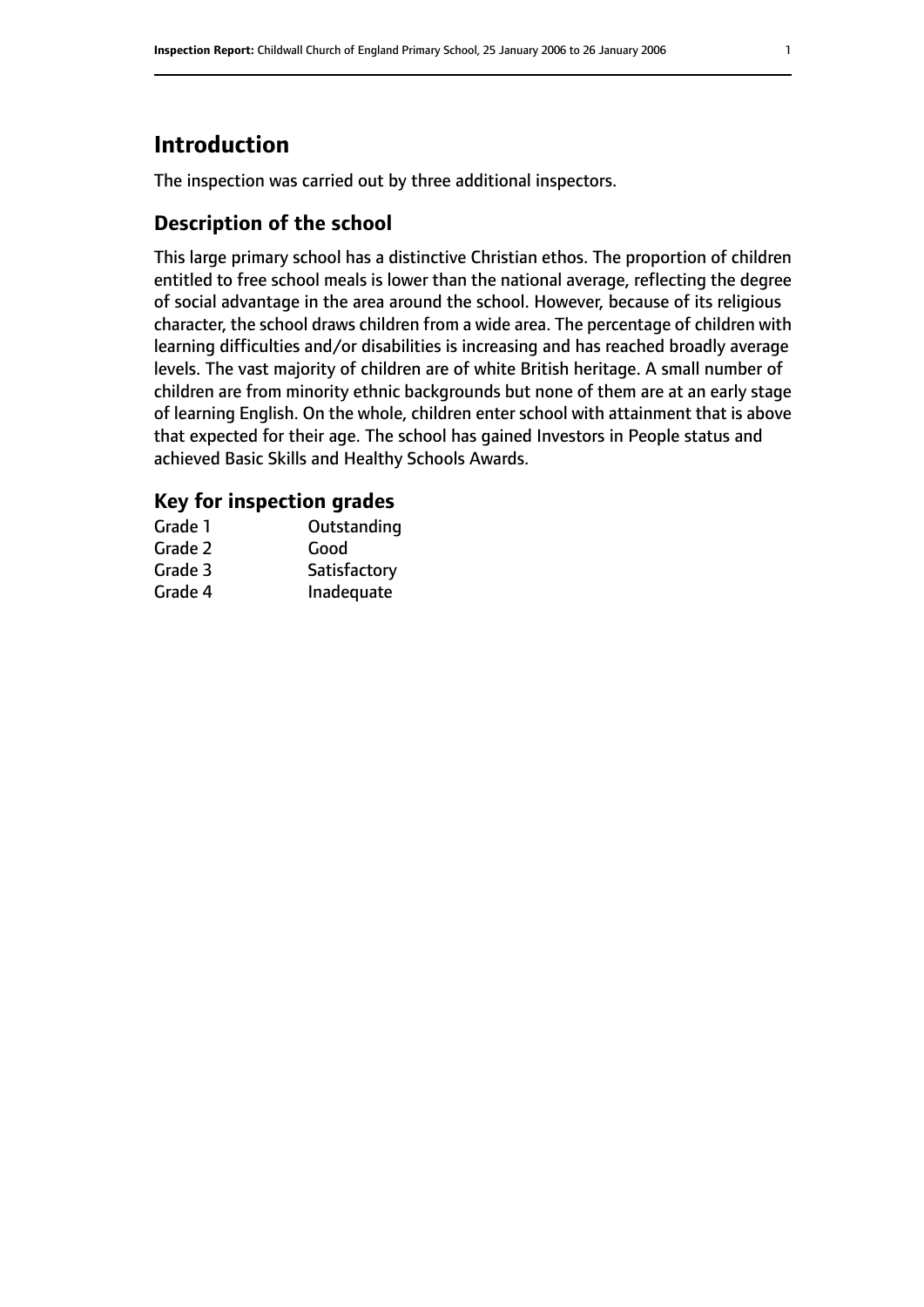# **Introduction**

The inspection was carried out by three additional inspectors.

# **Description of the school**

This large primary school has a distinctive Christian ethos. The proportion of children entitled to free school meals is lower than the national average, reflecting the degree of social advantage in the area around the school. However, because of its religious character, the school draws children from a wide area. The percentage of children with learning difficulties and/or disabilities is increasing and has reached broadly average levels. The vast majority of children are of white British heritage. A small number of children are from minority ethnic backgrounds but none of them are at an early stage of learning English. On the whole, children enter school with attainment that is above that expected for their age. The school has gained Investors in People status and achieved Basic Skills and Healthy Schools Awards.

# **Key for inspection grades**

| Grade 1 | Outstanding  |
|---------|--------------|
| Grade 2 | Good         |
| Grade 3 | Satisfactory |
| Grade 4 | Inadequate   |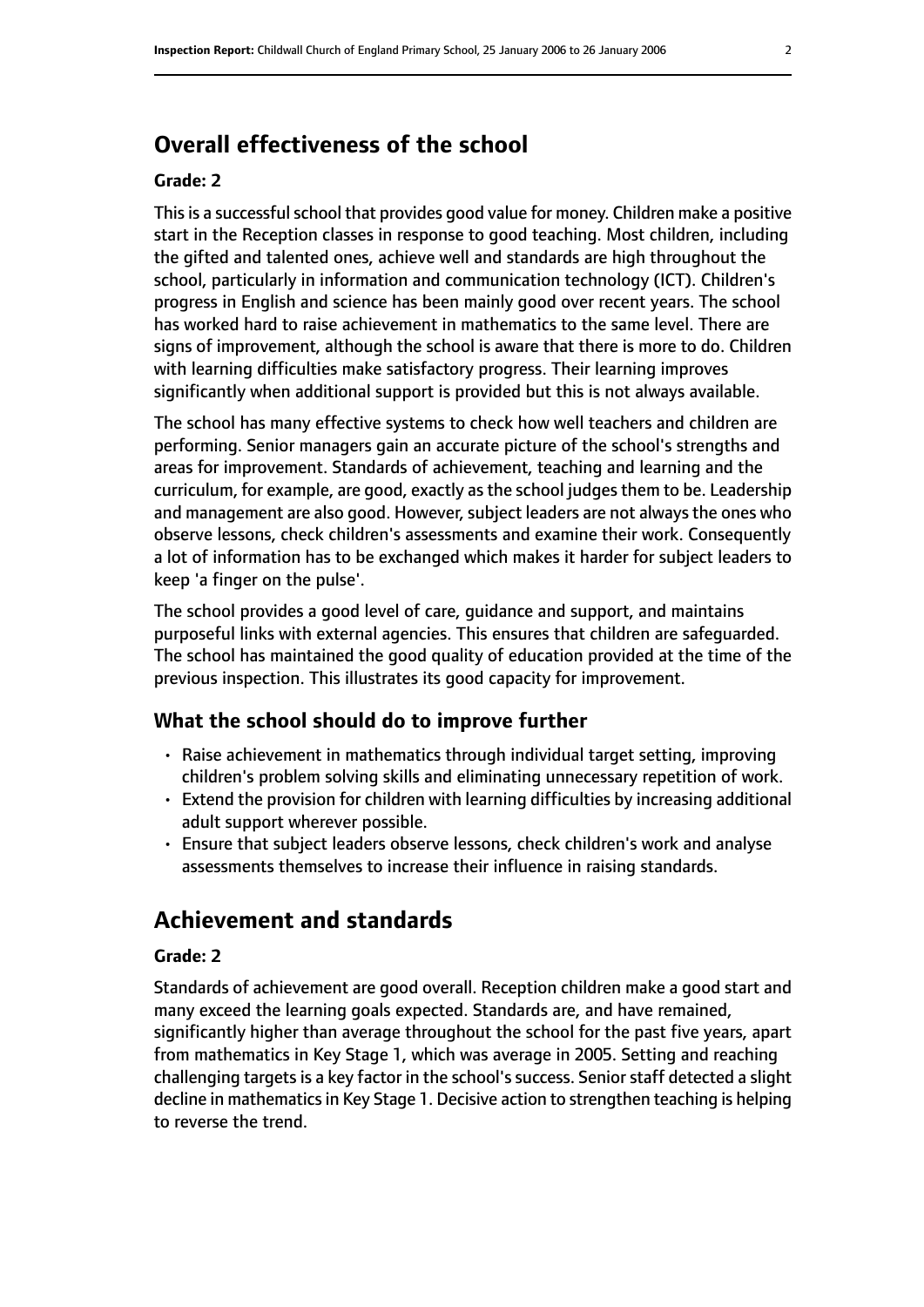# **Overall effectiveness of the school**

#### **Grade: 2**

This is a successful school that provides good value for money. Children make a positive start in the Reception classes in response to good teaching. Most children, including the gifted and talented ones, achieve well and standards are high throughout the school, particularly in information and communication technology (ICT). Children's progress in English and science has been mainly good over recent years. The school has worked hard to raise achievement in mathematics to the same level. There are signs of improvement, although the school is aware that there is more to do. Children with learning difficulties make satisfactory progress. Their learning improves significantly when additional support is provided but this is not always available.

The school has many effective systems to check how well teachers and children are performing. Senior managers gain an accurate picture of the school's strengths and areas for improvement. Standards of achievement, teaching and learning and the curriculum, for example, are good, exactly as the school judges them to be. Leadership and management are also good. However, subject leaders are not always the ones who observe lessons, check children's assessments and examine their work. Consequently a lot of information has to be exchanged which makes it harder for subject leaders to keep 'a finger on the pulse'.

The school provides a good level of care, guidance and support, and maintains purposeful links with external agencies. This ensures that children are safeguarded. The school has maintained the good quality of education provided at the time of the previous inspection. This illustrates its good capacity for improvement.

# **What the school should do to improve further**

- Raise achievement in mathematics through individual target setting, improving children's problem solving skills and eliminating unnecessary repetition of work.
- Extend the provision for children with learning difficulties by increasing additional adult support wherever possible.
- Ensure that subject leaders observe lessons, check children's work and analyse assessments themselves to increase their influence in raising standards.

# **Achievement and standards**

#### **Grade: 2**

Standards of achievement are good overall. Reception children make a good start and many exceed the learning goals expected. Standards are, and have remained, significantly higher than average throughout the school for the past five years, apart from mathematics in Key Stage 1, which was average in 2005. Setting and reaching challenging targets is a key factor in the school's success. Senior staff detected a slight decline in mathematics in Key Stage 1. Decisive action to strengthen teaching is helping to reverse the trend.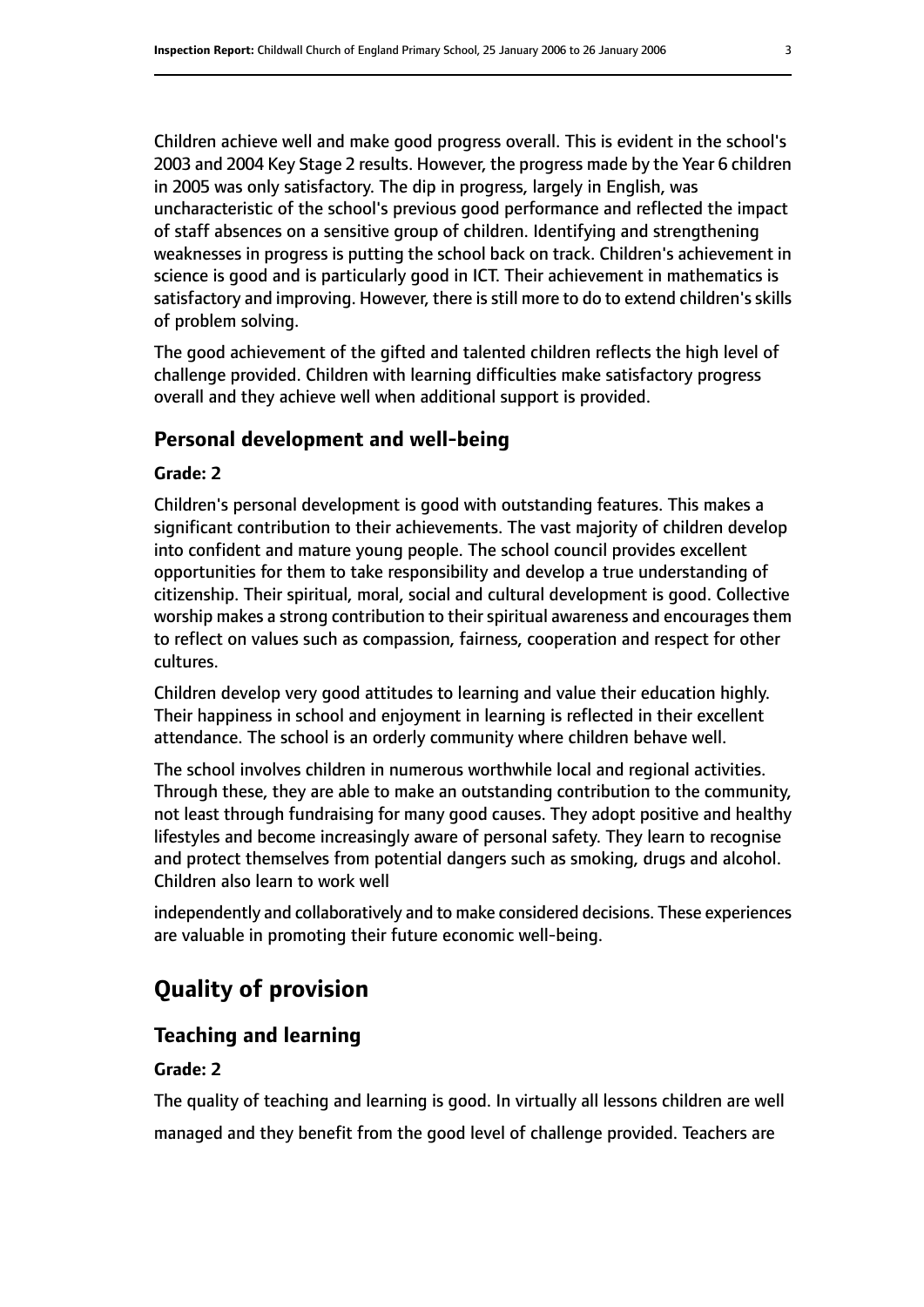Children achieve well and make good progress overall. This is evident in the school's 2003 and 2004 Key Stage 2 results. However, the progress made by the Year 6 children in 2005 was only satisfactory. The dip in progress, largely in English, was uncharacteristic of the school's previous good performance and reflected the impact of staff absences on a sensitive group of children. Identifying and strengthening weaknesses in progress is putting the school back on track. Children's achievement in science is good and is particularly good in ICT. Their achievement in mathematics is satisfactory and improving. However, there is still more to do to extend children's skills of problem solving.

The good achievement of the gifted and talented children reflects the high level of challenge provided. Children with learning difficulties make satisfactory progress overall and they achieve well when additional support is provided.

## **Personal development and well-being**

### **Grade: 2**

Children's personal development is good with outstanding features. This makes a significant contribution to their achievements. The vast majority of children develop into confident and mature young people. The school council provides excellent opportunities for them to take responsibility and develop a true understanding of citizenship. Their spiritual, moral, social and cultural development is good. Collective worship makes a strong contribution to their spiritual awareness and encourages them to reflect on values such as compassion, fairness, cooperation and respect for other cultures.

Children develop very good attitudes to learning and value their education highly. Their happiness in school and enjoyment in learning is reflected in their excellent attendance. The school is an orderly community where children behave well.

The school involves children in numerous worthwhile local and regional activities. Through these, they are able to make an outstanding contribution to the community, not least through fundraising for many good causes. They adopt positive and healthy lifestyles and become increasingly aware of personal safety. They learn to recognise and protect themselves from potential dangers such as smoking, drugs and alcohol. Children also learn to work well

independently and collaboratively and to make considered decisions. These experiences are valuable in promoting their future economic well-being.

# **Quality of provision**

# **Teaching and learning**

#### **Grade: 2**

The quality of teaching and learning is good. In virtually all lessons children are well managed and they benefit from the good level of challenge provided. Teachers are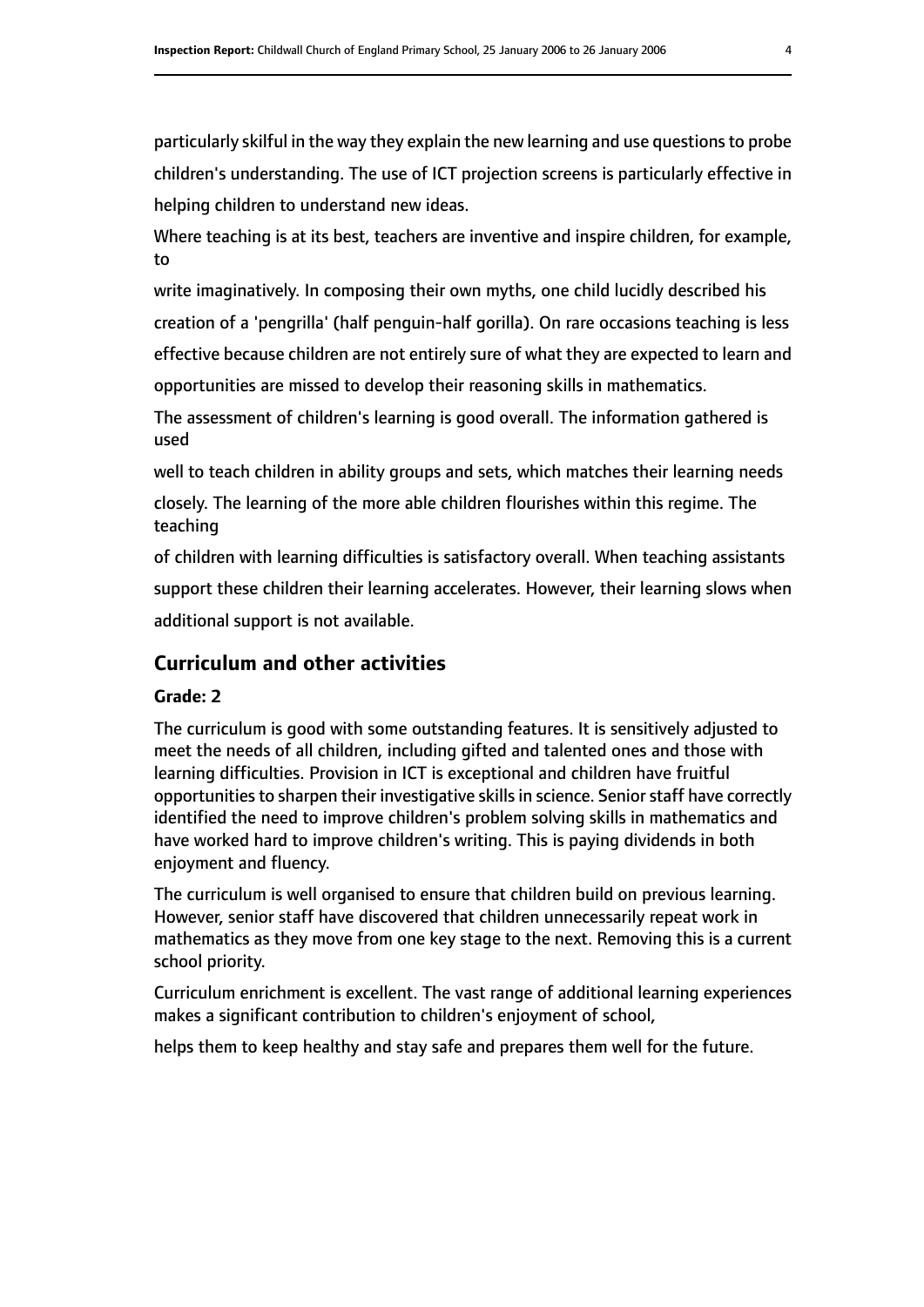particularly skilful in the way they explain the new learning and use questionsto probe children's understanding. The use of ICT projection screens is particularly effective in helping children to understand new ideas.

Where teaching is at its best, teachers are inventive and inspire children, for example, to

write imaginatively. In composing their own myths, one child lucidly described his creation of a 'pengrilla' (half penguin-half gorilla). On rare occasions teaching is less effective because children are not entirely sure of what they are expected to learn and

opportunities are missed to develop their reasoning skills in mathematics.

The assessment of children's learning is good overall. The information gathered is used

well to teach children in ability groups and sets, which matches their learning needs

closely. The learning of the more able children flourishes within this regime. The teaching

of children with learning difficulties is satisfactory overall. When teaching assistants support these children their learning accelerates. However, their learning slows when additional support is not available.

# **Curriculum and other activities**

# **Grade: 2**

The curriculum is good with some outstanding features. It is sensitively adjusted to meet the needs of all children, including gifted and talented ones and those with learning difficulties. Provision in ICT is exceptional and children have fruitful opportunities to sharpen their investigative skills in science. Senior staff have correctly identified the need to improve children's problem solving skills in mathematics and have worked hard to improve children's writing. This is paying dividends in both enjoyment and fluency.

The curriculum is well organised to ensure that children build on previous learning. However, senior staff have discovered that children unnecessarily repeat work in mathematics as they move from one key stage to the next. Removing this is a current school priority.

Curriculum enrichment is excellent. The vast range of additional learning experiences makes a significant contribution to children's enjoyment of school,

helps them to keep healthy and stay safe and prepares them well for the future.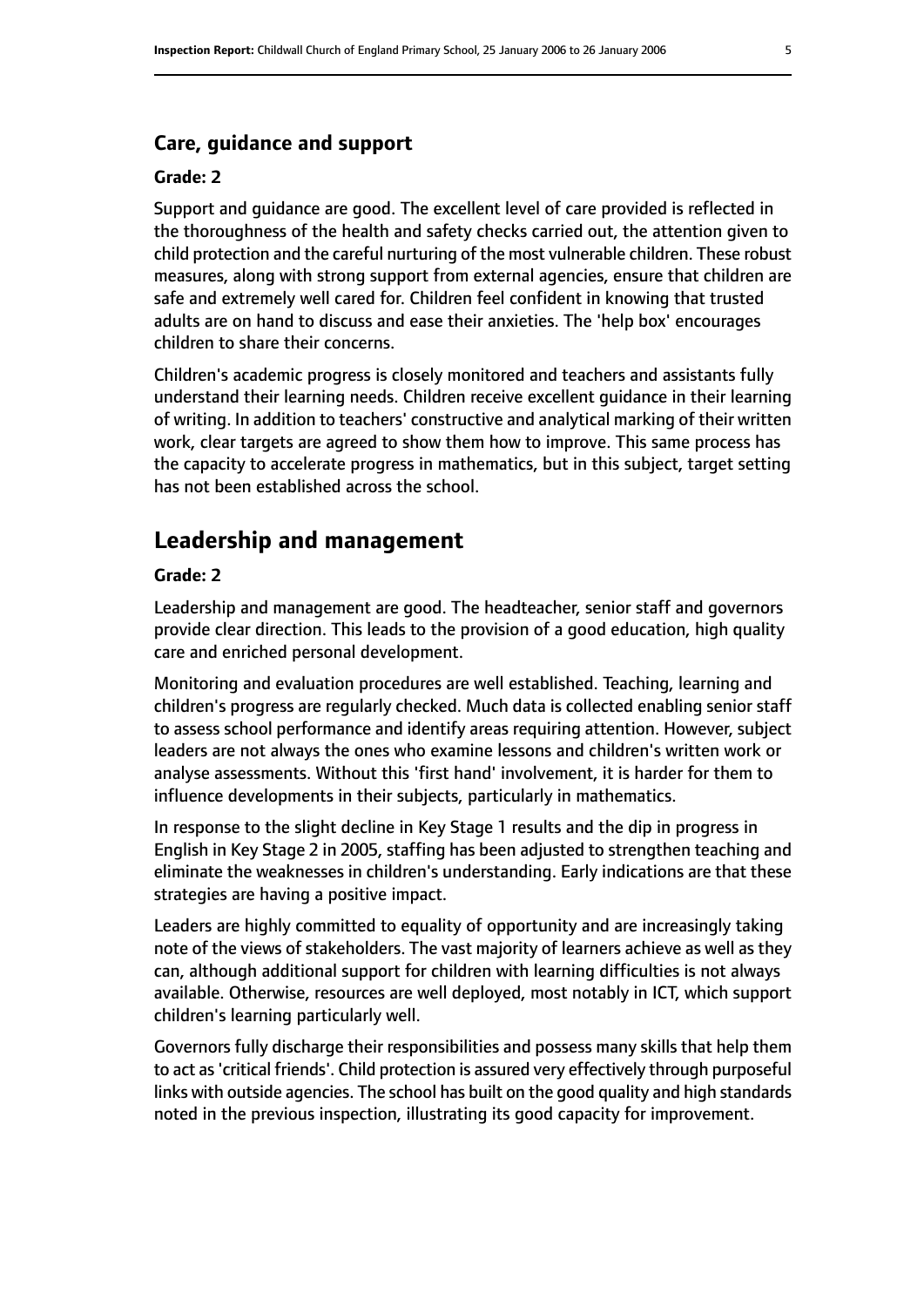## **Care, guidance and support**

#### **Grade: 2**

Support and guidance are good. The excellent level of care provided is reflected in the thoroughness of the health and safety checks carried out, the attention given to child protection and the careful nurturing of the most vulnerable children. These robust measures, along with strong support from external agencies, ensure that children are safe and extremely well cared for. Children feel confident in knowing that trusted adults are on hand to discuss and ease their anxieties. The 'help box' encourages children to share their concerns.

Children's academic progress is closely monitored and teachers and assistants fully understand their learning needs. Children receive excellent guidance in their learning of writing. In addition to teachers' constructive and analytical marking of their written work, clear targets are agreed to show them how to improve. This same process has the capacity to accelerate progress in mathematics, but in this subject, target setting has not been established across the school.

# **Leadership and management**

### **Grade: 2**

Leadership and management are good. The headteacher, senior staff and governors provide clear direction. This leads to the provision of a good education, high quality care and enriched personal development.

Monitoring and evaluation procedures are well established. Teaching, learning and children's progress are regularly checked. Much data is collected enabling senior staff to assess school performance and identify areas requiring attention. However, subject leaders are not always the ones who examine lessons and children's written work or analyse assessments. Without this 'first hand' involvement, it is harder for them to influence developments in their subjects, particularly in mathematics.

In response to the slight decline in Key Stage 1 results and the dip in progress in English in Key Stage 2 in 2005, staffing has been adjusted to strengthen teaching and eliminate the weaknesses in children's understanding. Early indications are that these strategies are having a positive impact.

Leaders are highly committed to equality of opportunity and are increasingly taking note of the views of stakeholders. The vast majority of learners achieve as well as they can, although additional support for children with learning difficulties is not always available. Otherwise, resources are well deployed, most notably in ICT, which support children's learning particularly well.

Governors fully discharge their responsibilities and possess many skills that help them to act as'critical friends'. Child protection is assured very effectively through purposeful links with outside agencies. The school has built on the good quality and high standards noted in the previous inspection, illustrating its good capacity for improvement.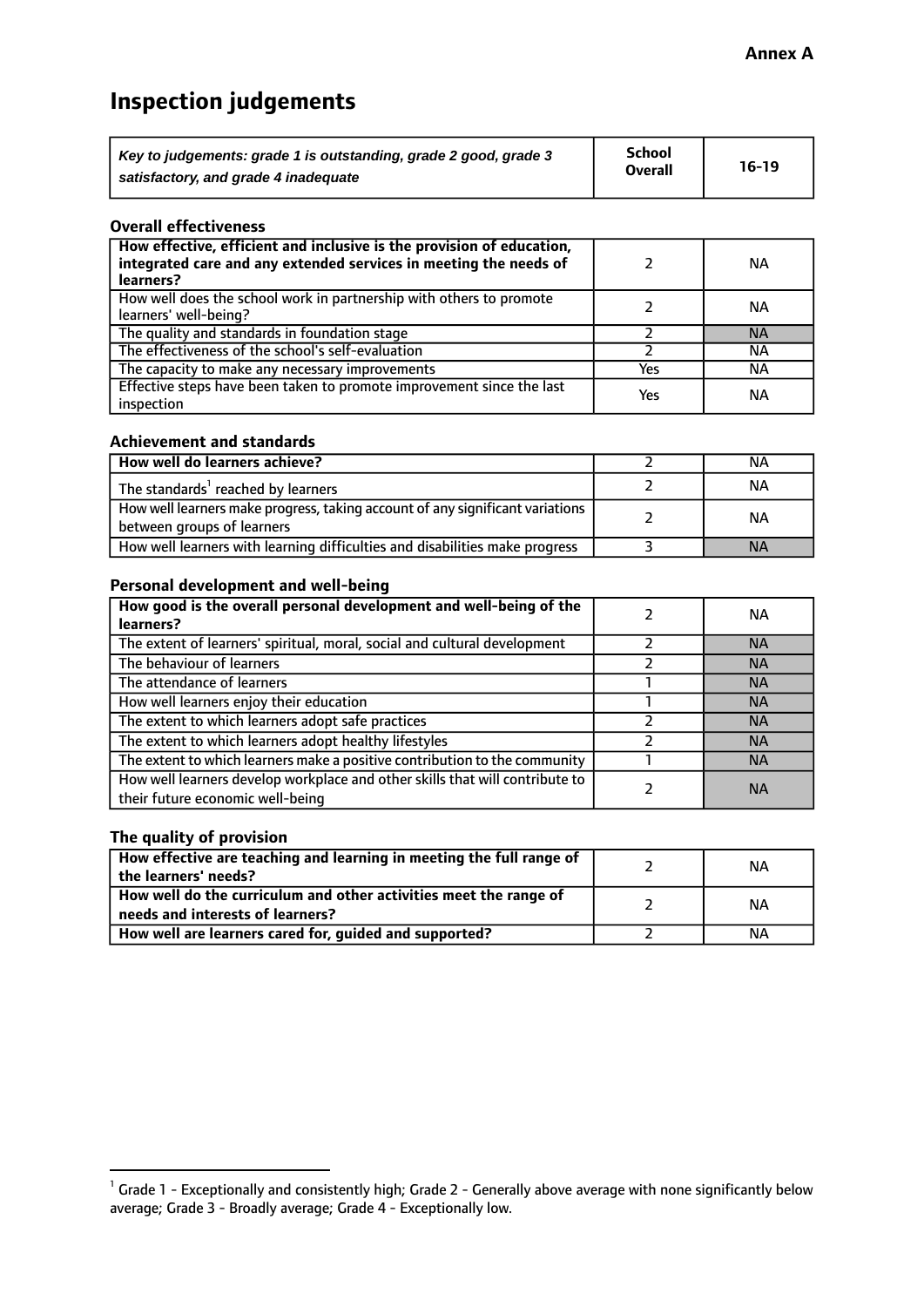# **Inspection judgements**

| Key to judgements: grade 1 is outstanding, grade 2 good, grade 3 | <b>School</b>  | $16-19$ |
|------------------------------------------------------------------|----------------|---------|
| satisfactory, and grade 4 inadequate                             | <b>Overall</b> |         |

#### **Overall effectiveness**

| How effective, efficient and inclusive is the provision of education,<br>integrated care and any extended services in meeting the needs of<br>learners? |     | NА        |
|---------------------------------------------------------------------------------------------------------------------------------------------------------|-----|-----------|
| How well does the school work in partnership with others to promote<br>learners' well-being?                                                            |     | NА        |
| The quality and standards in foundation stage                                                                                                           |     | <b>NA</b> |
| The effectiveness of the school's self-evaluation                                                                                                       |     | NА        |
| The capacity to make any necessary improvements                                                                                                         | Yes | NА        |
| Effective steps have been taken to promote improvement since the last<br>inspection                                                                     | Yes | <b>NA</b> |

#### **Achievement and standards**

| How well do learners achieve?                                                                               | ΝA        |
|-------------------------------------------------------------------------------------------------------------|-----------|
| The standards <sup>1</sup> reached by learners                                                              | NА        |
| How well learners make progress, taking account of any significant variations<br>between groups of learners | <b>NA</b> |
| How well learners with learning difficulties and disabilities make progress                                 | <b>NA</b> |

## **Personal development and well-being**

| How good is the overall personal development and well-being of the<br>learners?                                  | ΝA        |
|------------------------------------------------------------------------------------------------------------------|-----------|
| The extent of learners' spiritual, moral, social and cultural development                                        | <b>NA</b> |
| The behaviour of learners                                                                                        | <b>NA</b> |
| The attendance of learners                                                                                       | <b>NA</b> |
| How well learners enjoy their education                                                                          | <b>NA</b> |
| The extent to which learners adopt safe practices                                                                | <b>NA</b> |
| The extent to which learners adopt healthy lifestyles                                                            | <b>NA</b> |
| The extent to which learners make a positive contribution to the community                                       | <b>NA</b> |
| How well learners develop workplace and other skills that will contribute to<br>their future economic well-being | <b>NA</b> |

# **The quality of provision**

| How effective are teaching and learning in meeting the full range of<br>the learners' needs?          | ΝA |
|-------------------------------------------------------------------------------------------------------|----|
| How well do the curriculum and other activities meet the range of<br>needs and interests of learners? | ΝA |
| How well are learners cared for, guided and supported?                                                | NА |

 $^1$  Grade 1 - Exceptionally and consistently high; Grade 2 - Generally above average with none significantly below average; Grade 3 - Broadly average; Grade 4 - Exceptionally low.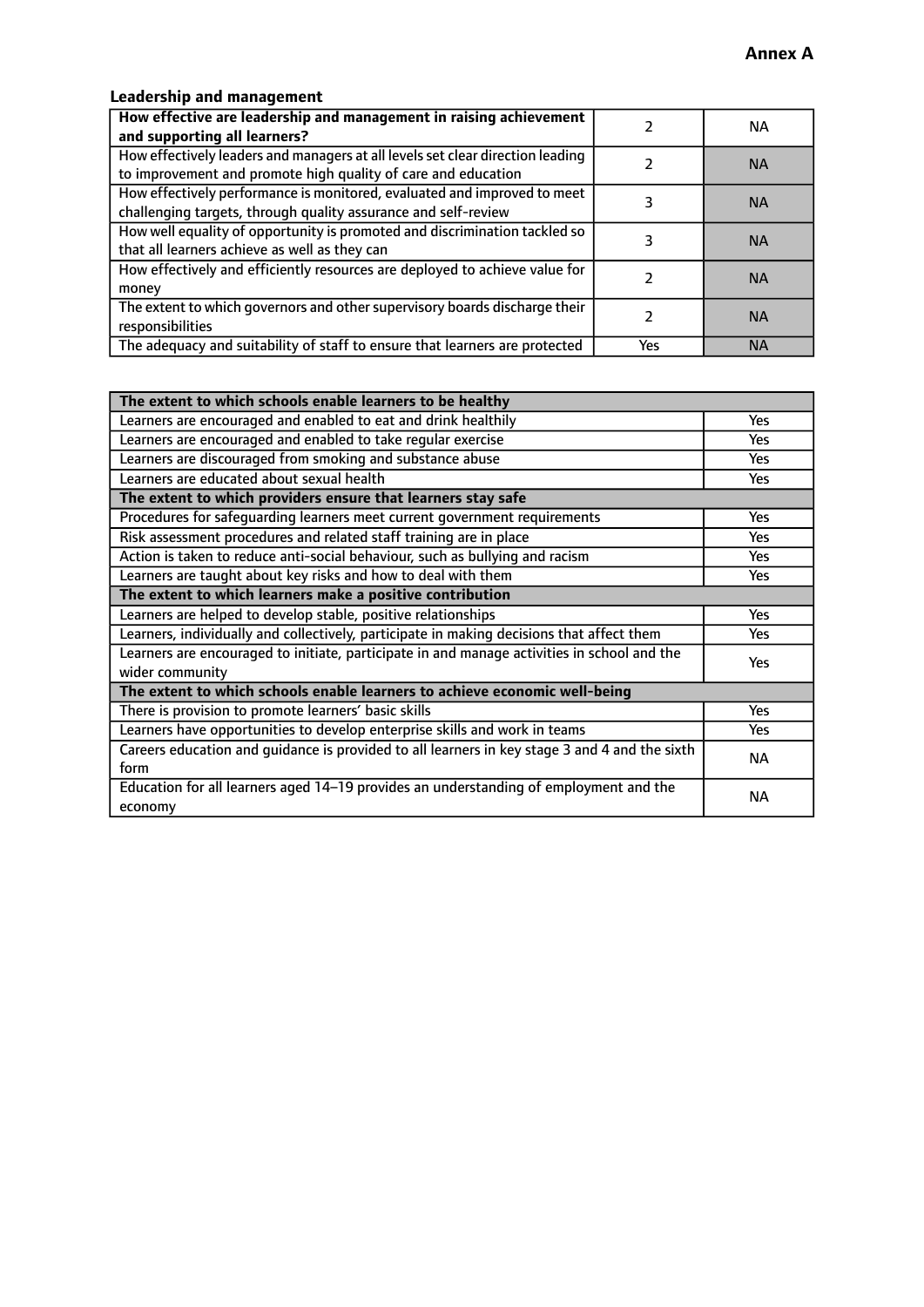# **Leadership and management**

| How effective are leadership and management in raising achievement<br>and supporting all learners?                                              |     | NA.       |
|-------------------------------------------------------------------------------------------------------------------------------------------------|-----|-----------|
| How effectively leaders and managers at all levels set clear direction leading<br>to improvement and promote high quality of care and education |     | <b>NA</b> |
| How effectively performance is monitored, evaluated and improved to meet<br>challenging targets, through quality assurance and self-review      |     | <b>NA</b> |
| How well equality of opportunity is promoted and discrimination tackled so<br>that all learners achieve as well as they can                     |     | <b>NA</b> |
| How effectively and efficiently resources are deployed to achieve value for<br>money                                                            |     | <b>NA</b> |
| The extent to which governors and other supervisory boards discharge their<br>responsibilities                                                  |     | <b>NA</b> |
| The adequacy and suitability of staff to ensure that learners are protected                                                                     | Yes | <b>NA</b> |

| The extent to which schools enable learners to be healthy                                     |            |
|-----------------------------------------------------------------------------------------------|------------|
| Learners are encouraged and enabled to eat and drink healthily                                | Yes        |
| Learners are encouraged and enabled to take regular exercise                                  | <b>Yes</b> |
| Learners are discouraged from smoking and substance abuse                                     | Yes        |
| Learners are educated about sexual health                                                     | Yes        |
| The extent to which providers ensure that learners stay safe                                  |            |
| Procedures for safequarding learners meet current government requirements                     | Yes        |
| Risk assessment procedures and related staff training are in place                            | <b>Yes</b> |
| Action is taken to reduce anti-social behaviour, such as bullying and racism                  | <b>Yes</b> |
| Learners are taught about key risks and how to deal with them                                 | Yes        |
| The extent to which learners make a positive contribution                                     |            |
| Learners are helped to develop stable, positive relationships                                 | Yes        |
| Learners, individually and collectively, participate in making decisions that affect them     | Yes        |
| Learners are encouraged to initiate, participate in and manage activities in school and the   | <b>Yes</b> |
| wider community                                                                               |            |
| The extent to which schools enable learners to achieve economic well-being                    |            |
| There is provision to promote learners' basic skills                                          | Yes        |
| Learners have opportunities to develop enterprise skills and work in teams                    | Yes        |
| Careers education and guidance is provided to all learners in key stage 3 and 4 and the sixth | <b>NA</b>  |
| form                                                                                          |            |
| Education for all learners aged 14-19 provides an understanding of employment and the         | NА         |
| economy                                                                                       |            |